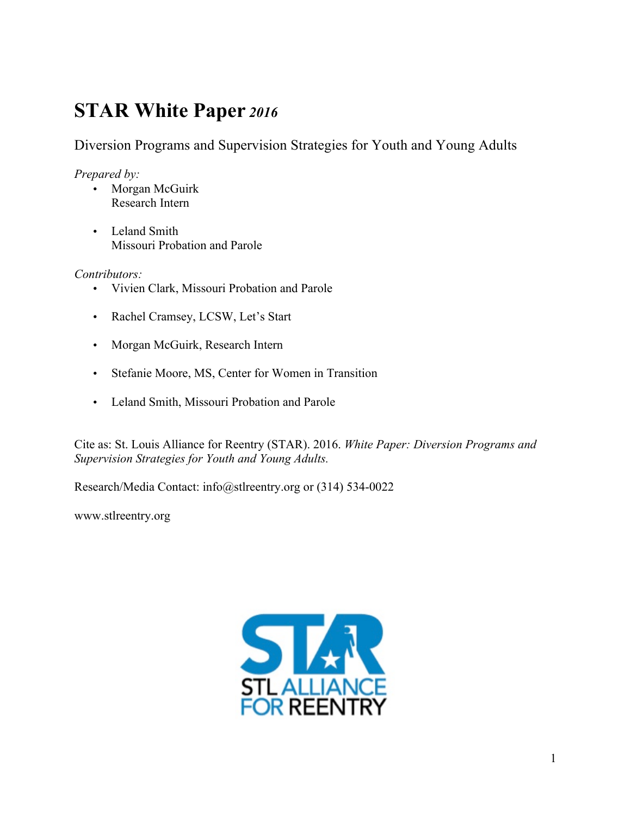## **STAR White Paper** *<sup>2016</sup>*

Diversion Programs and Supervision Strategies for Youth and Young Adults

*Prepared by:*

- Morgan McGuirk Research Intern
- Leland Smith Missouri Probation and Parole

*Contributors:*

- Vivien Clark, Missouri Probation and Parole
- Rachel Cramsey, LCSW, Let's Start
- Morgan McGuirk, Research Intern
- Stefanie Moore, MS, Center for Women in Transition
- Leland Smith, Missouri Probation and Parole

Cite as: St. Louis Alliance for Reentry (STAR). 2016. *White Paper: Diversion Programs and Supervision Strategies for Youth and Young Adults.*

Research/Media Contact: info@stlreentry.org or (314) 534-0022

www.stlreentry.org

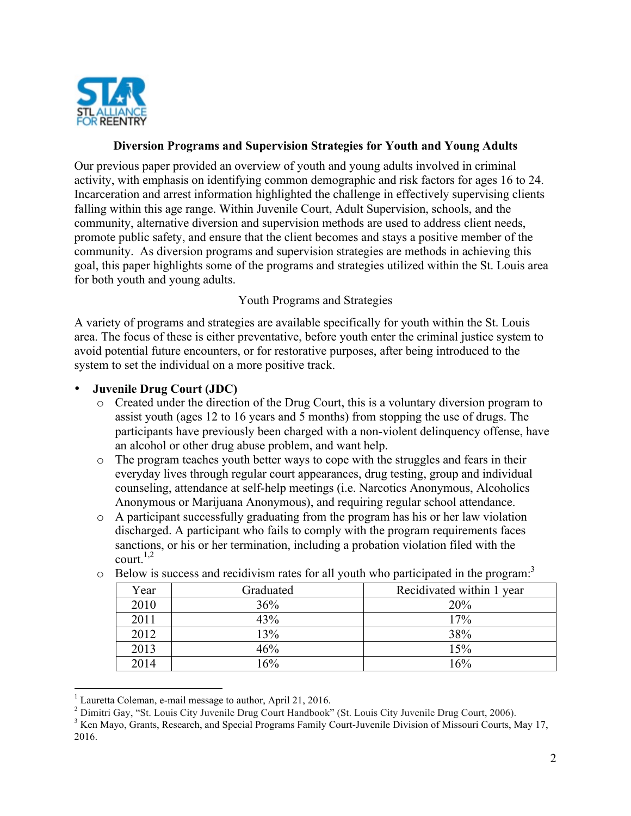

### **Diversion Programs and Supervision Strategies for Youth and Young Adults**

Our previous paper provided an overview of youth and young adults involved in criminal activity, with emphasis on identifying common demographic and risk factors for ages 16 to 24. Incarceration and arrest information highlighted the challenge in effectively supervising clients falling within this age range. Within Juvenile Court, Adult Supervision, schools, and the community, alternative diversion and supervision methods are used to address client needs, promote public safety, and ensure that the client becomes and stays a positive member of the community. As diversion programs and supervision strategies are methods in achieving this goal, this paper highlights some of the programs and strategies utilized within the St. Louis area for both youth and young adults.

## Youth Programs and Strategies

A variety of programs and strategies are available specifically for youth within the St. Louis area. The focus of these is either preventative, before youth enter the criminal justice system to avoid potential future encounters, or for restorative purposes, after being introduced to the system to set the individual on a more positive track.

# **Juvenile Drug Court (JDC)**<br>  $\circ$  Created under the direction

- Created under the direction of the Drug Court, this is a voluntary diversion program to assist youth (ages 12 to 16 years and 5 months) from stopping the use of drugs. The participants have previously been charged with a non-violent delinquency offense, have an alcohol or other drug abuse problem, and want help.
- o The program teaches youth better ways to cope with the struggles and fears in their everyday lives through regular court appearances, drug testing, group and individual counseling, attendance at self-help meetings (i.e. Narcotics Anonymous, Alcoholics Anonymous or Marijuana Anonymous), and requiring regular school attendance.
- $\circ$  A participant successfully graduating from the program has his or her law violation discharged. A participant who fails to comply with the program requirements faces sanctions, or his or her termination, including a probation violation filed with the court.<sup>1,2</sup>

| Year | Recidivated within 1 year<br>Graduated |     |  |
|------|----------------------------------------|-----|--|
|      |                                        |     |  |
| 2010 | 36%                                    | 20% |  |
| 2011 | 43%                                    | 17% |  |
| 2012 | 13%                                    | 38% |  |
| 2013 | 46%                                    | 15% |  |
| 2014 | $16\%$                                 | 16% |  |

o Below is success and recidivism rates for all youth who participated in the program:<sup>3</sup>

<sup>&</sup>lt;sup>1</sup> Lauretta Coleman, e-mail message to author, April 21, 2016.

<sup>&</sup>lt;sup>2</sup> Dimitri Gay, "St. Louis City Juvenile Drug Court Handbook" (St. Louis City Juvenile Drug Court, 2006).<br><sup>3</sup> Ken Mayo, Grants, Research, and Special Programs Family Court-Juvenile Division of Missouri Courts, May 17,

<sup>2016.</sup>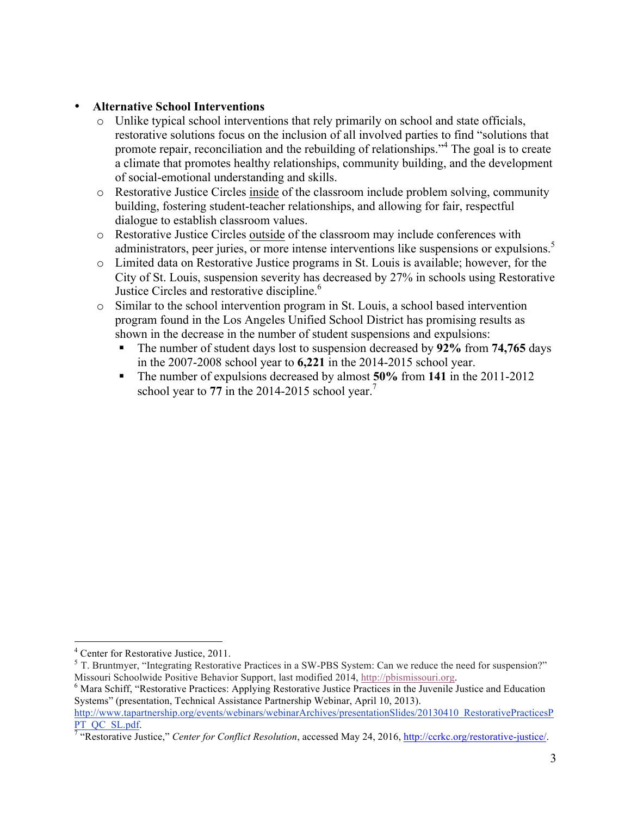## • **Alternative School Interventions**

- o Unlike typical school interventions that rely primarily on school and state officials, restorative solutions focus on the inclusion of all involved parties to find "solutions that promote repair, reconciliation and the rebuilding of relationships."<sup>4</sup> The goal is to create a climate that promotes healthy relationships, community building, and the development of social-emotional understanding and skills.
- o Restorative Justice Circles inside of the classroom include problem solving, community building, fostering student-teacher relationships, and allowing for fair, respectful dialogue to establish classroom values.
- o Restorative Justice Circles outside of the classroom may include conferences with administrators, peer juries, or more intense interventions like suspensions or expulsions.<sup>5</sup>
- o Limited data on Restorative Justice programs in St. Louis is available; however, for the City of St. Louis, suspension severity has decreased by 27% in schools using Restorative Justice Circles and restorative discipline.<sup>6</sup>
- o Similar to the school intervention program in St. Louis, a school based intervention program found in the Los Angeles Unified School District has promising results as shown in the decrease in the number of student suspensions and expulsions:
	- § The number of student days lost to suspension decreased by **92%** from **74,765** days in the 2007-2008 school year to **6,221** in the 2014-2015 school year.
	- § The number of expulsions decreased by almost **50%** from **141** in the 2011-2012 school year to 77 in the 2014-2015 school year.<sup>7</sup>

 $^4$  Center for Restorative Justice, 2011.<br>
<sup>5</sup> T. Bruntmyer, "Integrating Restorative Practices in a SW-PBS System: Can we reduce the need for suspension?" Missouri Schoolwide Positive Behavior Support, last modified 2014, http://pbismissouri.org.<br><sup>6</sup> Mara Schiff, "Restorative Practices: Applying Restorative Justice Practices in the Juvenile Justice and Education

Systems" (presentation, Technical Assistance Partnership Webinar, April 10, 2013).

http://www.tapartnership.org/events/webinars/webinarArchives/presentationSlides/20130410\_RestorativePracticesP PT\_QC\_SL.pdf. 7 "Restorative Justice," *Center for Conflict Resolution*, accessed May 24, 2016, http://ccrkc.org/restorative-justice/.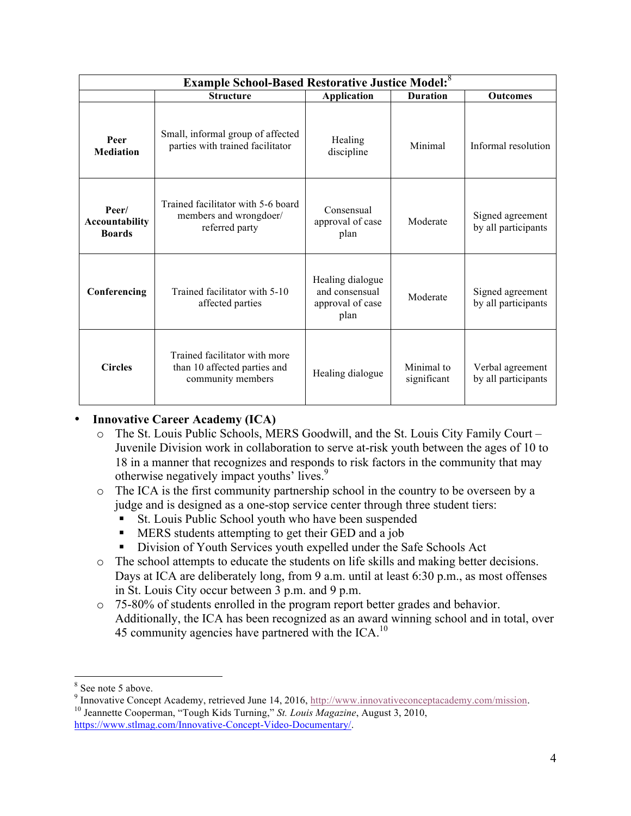| <b>Example School-Based Restorative Justice Model:</b> 8 |                                                                                    |                                                                |                           |                                         |
|----------------------------------------------------------|------------------------------------------------------------------------------------|----------------------------------------------------------------|---------------------------|-----------------------------------------|
|                                                          | <b>Structure</b>                                                                   | <b>Application</b>                                             | <b>Duration</b>           | <b>Outcomes</b>                         |
| Peer<br><b>Mediation</b>                                 | Small, informal group of affected<br>parties with trained facilitator              | Healing<br>discipline                                          | Minimal                   | Informal resolution                     |
| Peer/<br><b>Accountability</b><br><b>Boards</b>          | Trained facilitator with 5-6 board<br>members and wrongdoer/<br>referred party     | Consensual<br>approval of case<br>plan                         | Moderate                  | Signed agreement<br>by all participants |
| Conferencing                                             | Trained facilitator with 5-10<br>affected parties                                  | Healing dialogue<br>and consensual<br>approval of case<br>plan | Moderate                  | Signed agreement<br>by all participants |
| <b>Circles</b>                                           | Trained facilitator with more<br>than 10 affected parties and<br>community members | Healing dialogue                                               | Minimal to<br>significant | Verbal agreement<br>by all participants |

## • **Innovative Career Academy (ICA)**

- o The St. Louis Public Schools, MERS Goodwill, and the St. Louis City Family Court Juvenile Division work in collaboration to serve at-risk youth between the ages of 10 to 18 in a manner that recognizes and responds to risk factors in the community that may otherwise negatively impact youths' lives.<sup>9</sup>
- o The ICA is the first community partnership school in the country to be overseen by a judge and is designed as a one-stop service center through three student tiers:
	- St. Louis Public School youth who have been suspended
	- MERS students attempting to get their GED and a job
	- § Division of Youth Services youth expelled under the Safe Schools Act
- o The school attempts to educate the students on life skills and making better decisions. Days at ICA are deliberately long, from 9 a.m. until at least 6:30 p.m., as most offenses in St. Louis City occur between 3 p.m. and 9 p.m.
- o 75-80% of students enrolled in the program report better grades and behavior. Additionally, the ICA has been recognized as an award winning school and in total, over 45 community agencies have partnered with the ICA. $^{10}$

<sup>&</sup>lt;sup>8</sup> See note 5 above.

<sup>9</sup> Innovative Concept Academy, retrieved June 14, 2016, http://www.innovativeconceptacademy.com/mission. <sup>10</sup> Jeannette Cooperman, "Tough Kids Turning," *St. Louis Magazine*, August 3, 2010, https://www.stlmag.com/Innovative-Concept-Video-Documentary/.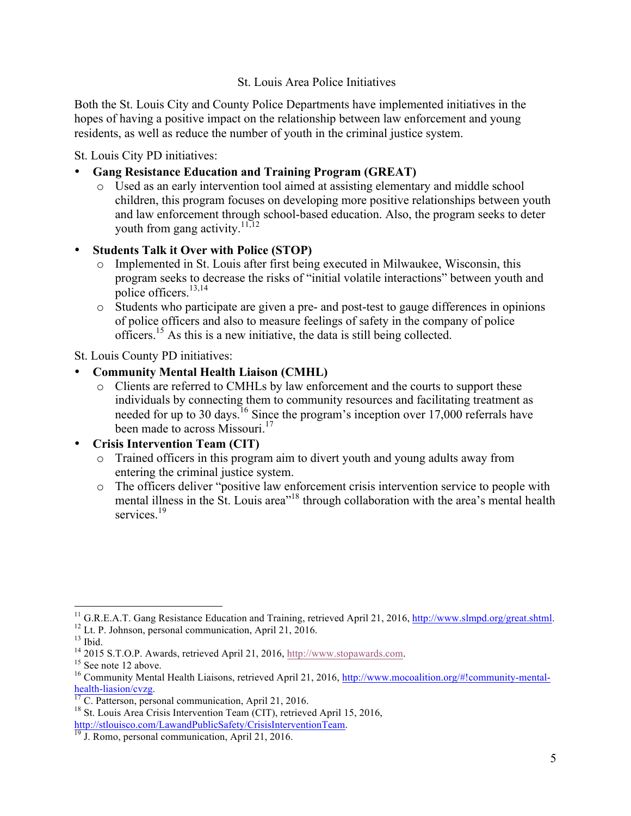## St. Louis Area Police Initiatives

Both the St. Louis City and County Police Departments have implemented initiatives in the hopes of having a positive impact on the relationship between law enforcement and young residents, as well as reduce the number of youth in the criminal justice system.

St. Louis City PD initiatives:

- **Gang Resistance Education and Training Program (GREAT)**
	- o Used as an early intervention tool aimed at assisting elementary and middle school children, this program focuses on developing more positive relationships between youth and law enforcement through school-based education. Also, the program seeks to deter vouth from gang activity.<sup>11,12</sup>
- **Students Talk it Over with Police (STOP)**
	- o Implemented in St. Louis after first being executed in Milwaukee, Wisconsin, this program seeks to decrease the risks of "initial volatile interactions" between youth and police officers.<sup>13,14</sup>
	- o Students who participate are given a pre- and post-test to gauge differences in opinions of police officers and also to measure feelings of safety in the company of police officers. <sup>15</sup> As this is a new initiative, the data is still being collected.

St. Louis County PD initiatives:

- **Community Mental Health Liaison (CMHL)**
	- o Clients are referred to CMHLs by law enforcement and the courts to support these individuals by connecting them to community resources and facilitating treatment as needed for up to 30 days.<sup>16</sup> Since the program's inception over 17,000 referrals have been made to across Missouri.<sup>17</sup>

## • **Crisis Intervention Team (CIT)**

- o Trained officers in this program aim to divert youth and young adults away from entering the criminal justice system.
- o The officers deliver "positive law enforcement crisis intervention service to people with mental illness in the St. Louis area<sup>"18</sup> through collaboration with the area's mental health services.<sup>19</sup>

<sup>&</sup>lt;sup>11</sup> G.R.E.A.T. Gang Resistance Education and Training, retrieved April 21, 2016,  $\frac{http://www.sImpd.org/great.shtml}{http://www.sImpd.org/great.shtml}$ .<br><sup>12</sup> Lt. P. Johnson, personal communication, April 21, 2016.<br><sup>13</sup> Ibid.<br><sup>14</sup> 2015 S.T.O.P. Awards, retrieved

health-liasion/cvzg.<br><sup>17</sup> C. Patterson, personal communication, April 21, 2016.<br><sup>18</sup> St. Louis Area Crisis Intervention Team (CIT), retrieved April 15, 2016.

http://stlouisco.com/LawandPublicSafety/CrisisInterventionTeam.<br><sup>19</sup> J. Romo, personal communication, April 21, 2016.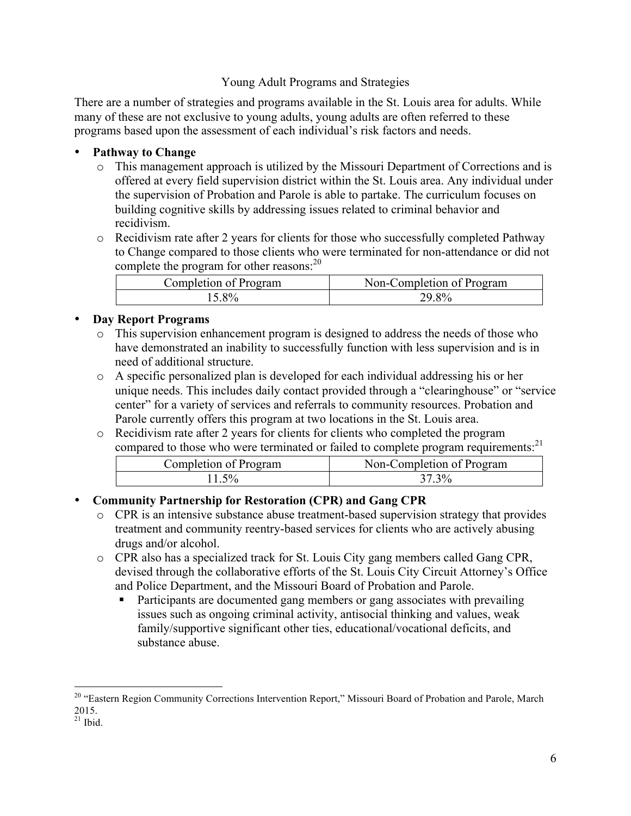## Young Adult Programs and Strategies

There are a number of strategies and programs available in the St. Louis area for adults. While many of these are not exclusive to young adults, young adults are often referred to these programs based upon the assessment of each individual's risk factors and needs.

## • **Pathway to Change**

- o This management approach is utilized by the Missouri Department of Corrections and is offered at every field supervision district within the St. Louis area. Any individual under the supervision of Probation and Parole is able to partake. The curriculum focuses on building cognitive skills by addressing issues related to criminal behavior and recidivism.
- o Recidivism rate after 2 years for clients for those who successfully completed Pathway to Change compared to those clients who were terminated for non-attendance or did not complete the program for other reasons:<sup>20</sup>

| Completion of Program | Non-Completion of Program |
|-----------------------|---------------------------|
| 5.8%                  |                           |

## • **Day Report Programs**

- o This supervision enhancement program is designed to address the needs of those who have demonstrated an inability to successfully function with less supervision and is in need of additional structure.
- o A specific personalized plan is developed for each individual addressing his or her unique needs. This includes daily contact provided through a "clearinghouse" or "service center" for a variety of services and referrals to community resources. Probation and Parole currently offers this program at two locations in the St. Louis area.
- $\circ$  Recidivism rate after 2 years for clients for clients who completed the program compared to those who were terminated or failed to complete program requirements: 21

| Completion of Program | Non-Completion of Program |
|-----------------------|---------------------------|
| $5\%$                 | 37 3%                     |

## • **Community Partnership for Restoration (CPR) and Gang CPR**

- o CPR is an intensive substance abuse treatment-based supervision strategy that provides treatment and community reentry-based services for clients who are actively abusing drugs and/or alcohol.
- o CPR also has a specialized track for St. Louis City gang members called Gang CPR, devised through the collaborative efforts of the St. Louis City Circuit Attorney's Office and Police Department, and the Missouri Board of Probation and Parole.
	- Participants are documented gang members or gang associates with prevailing issues such as ongoing criminal activity, antisocial thinking and values, weak family/supportive significant other ties, educational/vocational deficits, and substance abuse.

<sup>&</sup>lt;sup>20</sup> "Eastern Region Community Corrections Intervention Report," Missouri Board of Probation and Parole, March 2015.

 $21$  Ibid.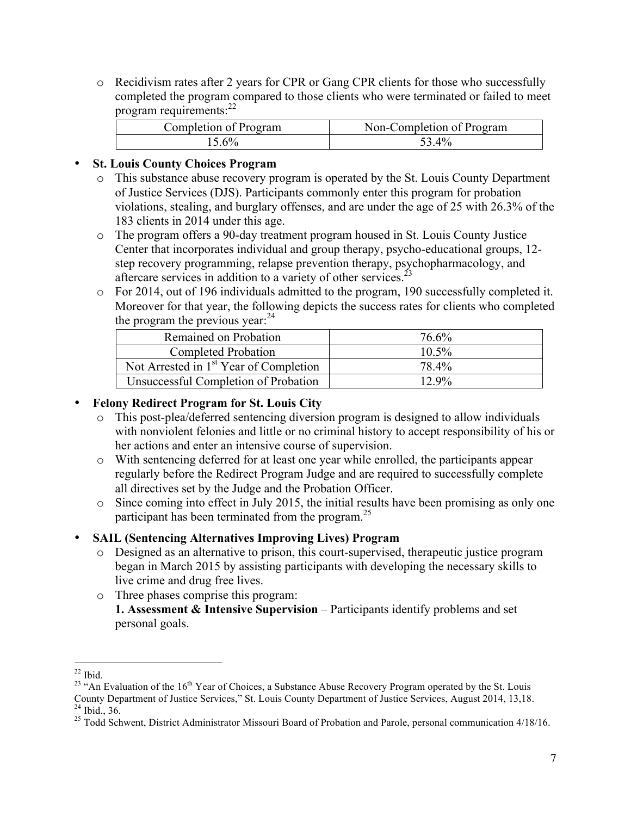o Recidivism rates after 2 years for CPR or Gang CPR clients for those who successfully completed the program compared to those clients who were terminated or failed to meet program requirements:<sup>22</sup>

| Completion of Program | Non-Completion of Program |
|-----------------------|---------------------------|
|                       | 53.4%                     |

## • **St. Louis County Choices Program**

- o This substance abuse recovery program is operated by the St. Louis County Department of Justice Services (DJS). Participants commonly enter this program for probation violations, stealing, and burglary offenses, and are under the age of 25 with 26.3% of the 183 clients in 2014 under this age.
- o The program offers a 90-day treatment program housed in St. Louis County Justice Center that incorporates individual and group therapy, psycho-educational groups, 12 step recovery programming, relapse prevention therapy, psychopharmacology, and aftercare services in addition to a variety of other services.<sup>23</sup>
- o For 2014, out of 196 individuals admitted to the program, 190 successfully completed it. Moreover for that year, the following depicts the success rates for clients who completed the program the previous year: $^{24}$

| Remained on Probation                              | 76.6%    |
|----------------------------------------------------|----------|
| Completed Probation                                | $10.5\%$ |
| Not Arrested in 1 <sup>st</sup> Year of Completion | 78.4%    |
| Unsuccessful Completion of Probation               | $12.9\%$ |

## • **Felony Redirect Program for St. Louis City**

- o This post-plea/deferred sentencing diversion program is designed to allow individuals with nonviolent felonies and little or no criminal history to accept responsibility of his or her actions and enter an intensive course of supervision.
- o With sentencing deferred for at least one year while enrolled, the participants appear regularly before the Redirect Program Judge and are required to successfully complete all directives set by the Judge and the Probation Officer.
- o Since coming into effect in July 2015, the initial results have been promising as only one participant has been terminated from the program. $^{25}$

## • **SAIL (Sentencing Alternatives Improving Lives) Program**

- o Designed as an alternative to prison, this court-supervised, therapeutic justice program began in March 2015 by assisting participants with developing the necessary skills to live crime and drug free lives.
- o Three phases comprise this program:
	- **1. Assessment & Intensive Supervision** Participants identify problems and set personal goals.

<sup>&</sup>lt;sup>22</sup> Ibid.<br><sup>23</sup> "An Evaluation of the 16<sup>th</sup> Year of Choices, a Substance Abuse Recovery Program operated by the St. Louis County Department of Justice Services," St. Louis County Department of Justice Services, August 2014, 13,18.<br><sup>24</sup> Ibid., 36.<br><sup>25</sup> Todd Schwent, District Administrator Missouri Board of Probation and Parole, personal commun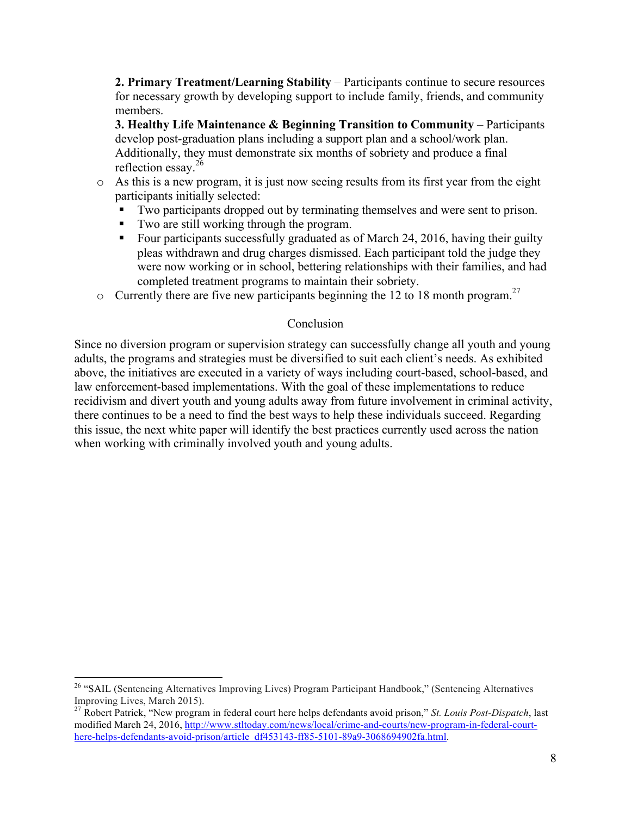**2. Primary Treatment/Learning Stability** – Participants continue to secure resources for necessary growth by developing support to include family, friends, and community members.

**3. Healthy Life Maintenance & Beginning Transition to Community** – Participants develop post-graduation plans including a support plan and a school/work plan. Additionally, they must demonstrate six months of sobriety and produce a final reflection essay.<sup>26</sup>

- o As this is a new program, it is just now seeing results from its first year from the eight participants initially selected:
	- Two participants dropped out by terminating themselves and were sent to prison.
	- Two are still working through the program.
	- Four participants successfully graduated as of March 24, 2016, having their guilty pleas withdrawn and drug charges dismissed. Each participant told the judge they were now working or in school, bettering relationships with their families, and had completed treatment programs to maintain their sobriety.
- $\circ$  Currently there are five new participants beginning the 12 to 18 month program.<sup>27</sup>

## Conclusion

Since no diversion program or supervision strategy can successfully change all youth and young adults, the programs and strategies must be diversified to suit each client's needs. As exhibited above, the initiatives are executed in a variety of ways including court-based, school-based, and law enforcement-based implementations. With the goal of these implementations to reduce recidivism and divert youth and young adults away from future involvement in criminal activity, there continues to be a need to find the best ways to help these individuals succeed. Regarding this issue, the next white paper will identify the best practices currently used across the nation when working with criminally involved youth and young adults.

<sup>&</sup>lt;sup>26</sup> "SAIL (Sentencing Alternatives Improving Lives) Program Participant Handbook," (Sentencing Alternatives

Improving Lives, March 2015). <sup>27</sup> Robert Patrick, "New program in federal court here helps defendants avoid prison," *St. Louis Post-Dispatch*, last modified March 24, 2016, http://www.stltoday.com/news/local/crime-and-courts/new-program-in-federal-courthere-helps-defendants-avoid-prison/article\_df453143-ff85-5101-89a9-3068694902fa.html.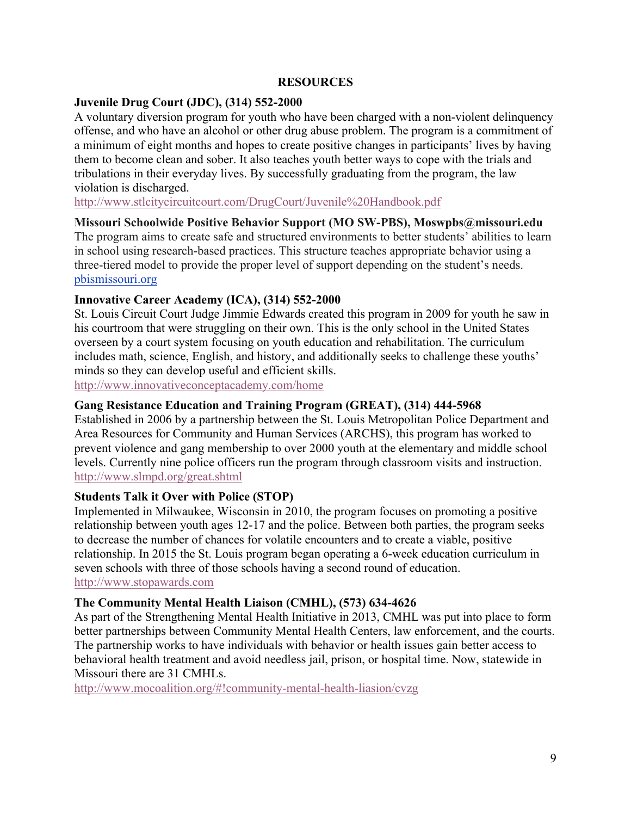#### **RESOURCES**

### **Juvenile Drug Court (JDC), (314) 552-2000**

A voluntary diversion program for youth who have been charged with a non-violent delinquency offense, and who have an alcohol or other drug abuse problem. The program is a commitment of a minimum of eight months and hopes to create positive changes in participants' lives by having them to become clean and sober. It also teaches youth better ways to cope with the trials and tribulations in their everyday lives. By successfully graduating from the program, the law violation is discharged.

http://www.stlcitycircuitcourt.com/DrugCourt/Juvenile%20Handbook.pdf

#### **Missouri Schoolwide Positive Behavior Support (MO SW-PBS), Moswpbs@missouri.edu**

The program aims to create safe and structured environments to better students' abilities to learn in school using research-based practices. This structure teaches appropriate behavior using a three-tiered model to provide the proper level of support depending on the student's needs. pbismissouri.org

#### **Innovative Career Academy (ICA), (314) 552-2000**

St. Louis Circuit Court Judge Jimmie Edwards created this program in 2009 for youth he saw in his courtroom that were struggling on their own. This is the only school in the United States overseen by a court system focusing on youth education and rehabilitation. The curriculum includes math, science, English, and history, and additionally seeks to challenge these youths' minds so they can develop useful and efficient skills. http://www.innovativeconceptacademy.com/home

#### **Gang Resistance Education and Training Program (GREAT), (314) 444-5968**

Established in 2006 by a partnership between the St. Louis Metropolitan Police Department and Area Resources for Community and Human Services (ARCHS), this program has worked to prevent violence and gang membership to over 2000 youth at the elementary and middle school levels. Currently nine police officers run the program through classroom visits and instruction. http://www.slmpd.org/great.shtml

## **Students Talk it Over with Police (STOP)**

Implemented in Milwaukee, Wisconsin in 2010, the program focuses on promoting a positive relationship between youth ages 12-17 and the police. Between both parties, the program seeks to decrease the number of chances for volatile encounters and to create a viable, positive relationship. In 2015 the St. Louis program began operating a 6-week education curriculum in seven schools with three of those schools having a second round of education. http://www.stopawards.com

#### **The Community Mental Health Liaison (CMHL), (573) 634-4626**

As part of the Strengthening Mental Health Initiative in 2013, CMHL was put into place to form better partnerships between Community Mental Health Centers, law enforcement, and the courts. The partnership works to have individuals with behavior or health issues gain better access to behavioral health treatment and avoid needless jail, prison, or hospital time. Now, statewide in Missouri there are 31 CMHLs.

http://www.mocoalition.org/#!community-mental-health-liasion/cvzg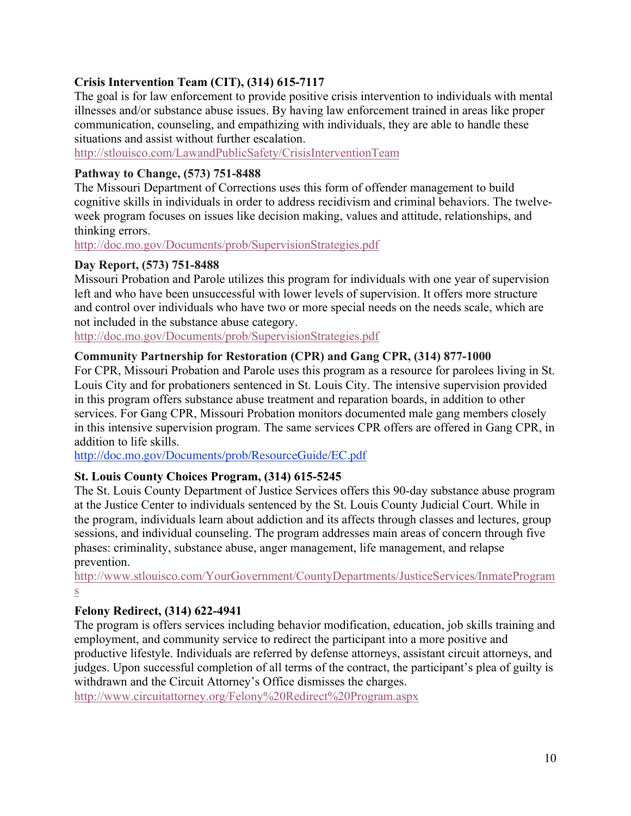## **Crisis Intervention Team (CIT), (314) 615-7117**

The goal is for law enforcement to provide positive crisis intervention to individuals with mental illnesses and/or substance abuse issues. By having law enforcement trained in areas like proper communication, counseling, and empathizing with individuals, they are able to handle these situations and assist without further escalation.

http://stlouisco.com/LawandPublicSafety/CrisisInterventionTeam

## **Pathway to Change, (573) 751-8488**

The Missouri Department of Corrections uses this form of offender management to build cognitive skills in individuals in order to address recidivism and criminal behaviors. The twelveweek program focuses on issues like decision making, values and attitude, relationships, and thinking errors.

http://doc.mo.gov/Documents/prob/SupervisionStrategies.pdf

## **Day Report, (573) 751-8488**

Missouri Probation and Parole utilizes this program for individuals with one year of supervision left and who have been unsuccessful with lower levels of supervision. It offers more structure and control over individuals who have two or more special needs on the needs scale, which are not included in the substance abuse category.

http://doc.mo.gov/Documents/prob/SupervisionStrategies.pdf

## **Community Partnership for Restoration (CPR) and Gang CPR, (314) 877-1000**

For CPR, Missouri Probation and Parole uses this program as a resource for parolees living in St. Louis City and for probationers sentenced in St. Louis City. The intensive supervision provided in this program offers substance abuse treatment and reparation boards, in addition to other services. For Gang CPR, Missouri Probation monitors documented male gang members closely in this intensive supervision program. The same services CPR offers are offered in Gang CPR, in addition to life skills.

http://doc.mo.gov/Documents/prob/ResourceGuide/EC.pdf

## **St. Louis County Choices Program, (314) 615-5245**

The St. Louis County Department of Justice Services offers this 90-day substance abuse program at the Justice Center to individuals sentenced by the St. Louis County Judicial Court. While in the program, individuals learn about addiction and its affects through classes and lectures, group sessions, and individual counseling. The program addresses main areas of concern through five phases: criminality, substance abuse, anger management, life management, and relapse prevention.

http://www.stlouisco.com/YourGovernment/CountyDepartments/JusticeServices/InmateProgram s

## **Felony Redirect, (314) 622-4941**

The program is offers services including behavior modification, education, job skills training and employment, and community service to redirect the participant into a more positive and productive lifestyle. Individuals are referred by defense attorneys, assistant circuit attorneys, and judges. Upon successful completion of all terms of the contract, the participant's plea of guilty is withdrawn and the Circuit Attorney's Office dismisses the charges.

http://www.circuitattorney.org/Felony%20Redirect%20Program.aspx